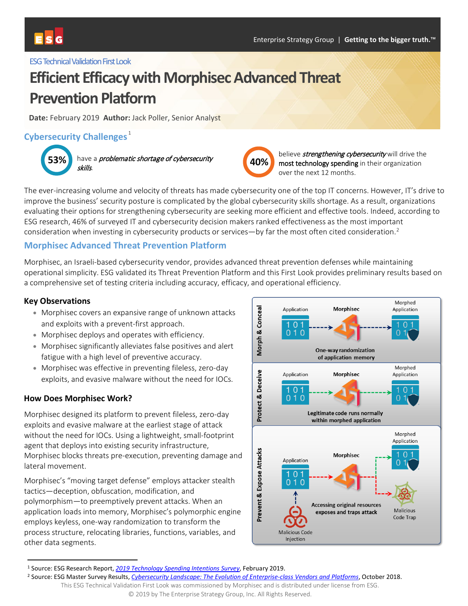

#### **ESG Technical Validation First Look**

# **Efficient Efficacy with Morphisec Advanced Threat Prevention Platform**

**Date:** February 2019 **Author:** Jack Poller, Senior Analyst

# **Cybersecurity Challenges**<sup>[1](#page-0-0)</sup>



**53%** have a *problematic shortage of cybersecurity* **40%** skills.



believe *strengthening cybersecurity* will drive the most technology spending in their organization over the next 12 months.

The ever-increasing volume and velocity of threats has made cybersecurity one of the top IT concerns. However, IT's drive to improve the business' security posture is complicated by the global cybersecurity skills shortage. As a result, organizations evaluating their options for strengthening cybersecurity are seeking more efficient and effective tools. Indeed, according to ESG research, 46% of surveyed IT and cybersecurity decision makers ranked effectiveness as the most important consideration when investing in cybersecurity products or services—by far the most often cited consideration.<sup>[2](#page-0-1)</sup>

# **Morphisec Advanced Threat Prevention Platform**

Morphisec, an Israeli-based cybersecurity vendor, provides advanced threat prevention defenses while maintaining operational simplicity. ESG validated its Threat Prevention Platform and this First Look provides preliminary results based on a comprehensive set of testing criteria including accuracy, efficacy, and operational efficiency.

#### **Key Observations**

- Morphisec covers an expansive range of unknown attacks and exploits with a prevent-first approach.
- Morphisec deploys and operates with efficiency.
- Morphisec significantly alleviates false positives and alert fatigue with a high level of preventive accuracy.
- Morphisec was effective in preventing fileless, zero-day exploits, and evasive malware without the need for IOCs.

#### **How Does Morphisec Work?**

Morphisec designed its platform to prevent fileless, zero-day exploits and evasive malware at the earliest stage of attack without the need for IOCs. Using a lightweight, small-footprint agent that deploys into existing security infrastructure, Morphisec blocks threats pre-execution, preventing damage and lateral movement.

Morphisec's "moving target defense" employs attacker stealth tactics—deception, obfuscation, modification, and polymorphism—to preemptively prevent attacks. When an application loads into memory, Morphisec's polymorphic engine employs keyless, one-way randomization to transform the process structure, relocating libraries, functions, variables, and other data segments.



<span id="page-0-0"></span> <sup>1</sup> Source: ESG Research Report, *2019 Technology [Spending Intentions Survey](https://research.esg-global.com/reportaction/2019technologyspendingintentions/Toc)*, February 2019.

<span id="page-0-1"></span><sup>2</sup> Source: ESG Master Survey Results, *[Cybersecurity Landscape: The Evolution of Enterprise-class Vendors and Platforms](https://research.esg-global.com/reportaction/enterpriseclasscybersecurityvendorsentiment/Toc)*, October 2018.

This ESG Technical Validation First Look was commissioned by Morphisec and is distributed under license from ESG. © 2019 by The Enterprise Strategy Group, Inc. All Rights Reserved.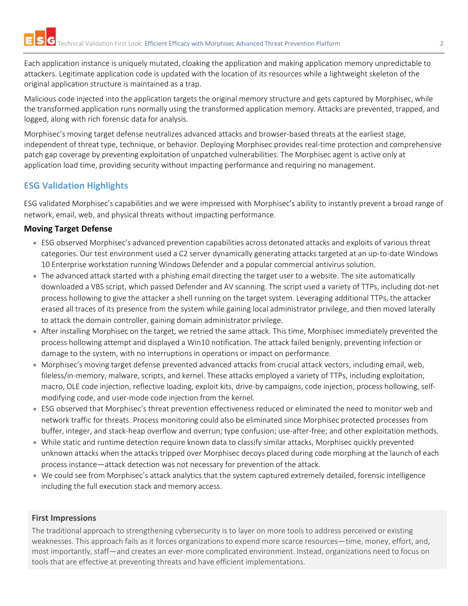Each application instance is uniquely mutated, cloaking the application and making application memory unpredictable to attackers. Legitimate application code is updated with the location of its resources while a lightweight skeleton of the original application structure is maintained as a trap.

Malicious code injected into the application targets the original memory structure and gets captured by Morphisec, while the transformed application runs normally using the transformed application memory. Attacks are prevented, trapped, and logged, along with rich forensic data for analysis.

Morphisec's moving target defense neutralizes advanced attacks and browser-based threats at the earliest stage, independent of threat type, technique, or behavior. Deploying Morphisec provides real-time protection and comprehensive patch gap coverage by preventing exploitation of unpatched vulnerabilities. The Morphisec agent is active only at application load time, providing security without impacting performance and requiring no management.

# **ESG Validation Highlights**

ESG validated Morphisec's capabilities and we were impressed with Morphisec's ability to instantly prevent a broad range of network, email, web, and physical threats without impacting performance.

# **Moving Target Defense**

- ESG observed Morphisec's advanced prevention capabilities across detonated attacks and exploits of various threat categories. Our test environment used a C2 server dynamically generating attacks targeted at an up-to-date Windows 10 Enterprise workstation running Windows Defender and a popular commercial antivirus solution.
- The advanced attack started with a phishing email directing the target user to a website. The site automatically downloaded a VBS script, which passed Defender and AV scanning. The script used a variety of TTPs, including dot-net process hollowing to give the attacker a shell running on the target system. Leveraging additional TTPs, the attacker erased all traces of its presence from the system while gaining local administrator privilege, and then moved laterally to attack the domain controller, gaining domain administrator privilege.
- After installing Morphisec on the target, we retried the same attack. This time, Morphisec immediately prevented the process hollowing attempt and displayed a Win10 notification. The attack failed benignly, preventing infection or damage to the system, with no interruptions in operations or impact on performance.
- Morphisec's moving target defense prevented advanced attacks from crucial attack vectors, including email, web, fileless/in-memory, malware, scripts, and kernel. These attacks employed a variety of TTPs, including exploitation, macro, OLE code injection, reflective loading, exploit kits, drive-by campaigns, code injection, process hollowing, selfmodifying code, and user-mode code injection from the kernel.
- ESG observed that Morphisec's threat prevention effectiveness reduced or eliminated the need to monitor web and network traffic for threats. Process monitoring could also be eliminated since Morphisec protected processes from buffer, integer, and stack-heap overflow and overrun; type confusion; use-after-free; and other exploitation methods.
- While static and runtime detection require known data to classify similar attacks, Morphisec quickly prevented unknown attacks when the attacks tripped over Morphisec decoys placed during code morphing at the launch of each process instance—attack detection was not necessary for prevention of the attack.
- We could see from Morphisec's attack analytics that the system captured extremely detailed, forensic intelligence including the full execution stack and memory access.

# **First Impressions**

The traditional approach to strengthening cybersecurity is to layer on more tools to address perceived or existing weaknesses. This approach fails as it forces organizations to expend more scarce resources—time, money, effort, and, most importantly, staff—and creates an ever-more complicated environment. Instead, organizations need to focus on tools that are effective at preventing threats and have efficient implementations.